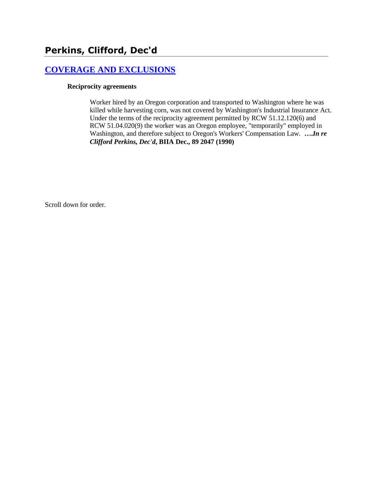# **[COVERAGE AND EXCLUSIONS](http://www.biia.wa.gov/SDSubjectIndex.html#COVERAGE_AND_EXCLUSIONS)**

#### **Reciprocity agreements**

Worker hired by an Oregon corporation and transported to Washington where he was killed while harvesting corn, was not covered by Washington's Industrial Insurance Act. Under the terms of the reciprocity agreement permitted by RCW 51.12.120(6) and RCW 51.04.020(9) the worker was an Oregon employee, "temporarily" employed in Washington, and therefore subject to Oregon's Workers' Compensation Law. **….***In re Clifford Perkins, Dec'd***, BIIA Dec., 89 2047 (1990)**

Scroll down for order.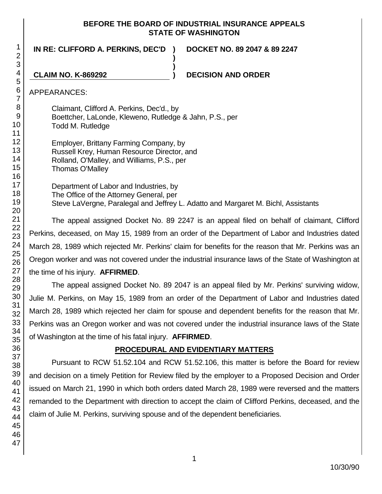## **BEFORE THE BOARD OF INDUSTRIAL INSURANCE APPEALS STATE OF WASHINGTON**

**)**

**)**

**IN RE: CLIFFORD A. PERKINS, DEC'D )**

**DOCKET NO. 89 2047 & 89 2247**

**CLAIM NO. K-869292 ) DECISION AND ORDER**

APPEARANCES:

Claimant, Clifford A. Perkins, Dec'd., by Boettcher, LaLonde, Kleweno, Rutledge & Jahn, P.S., per Todd M. Rutledge

Employer, Brittany Farming Company, by Russell Krey, Human Resource Director, and Rolland, O'Malley, and Williams, P.S., per Thomas O'Malley

Department of Labor and Industries, by The Office of the Attorney General, per Steve LaVergne, Paralegal and Jeffrey L. Adatto and Margaret M. Bichl, Assistants

The appeal assigned Docket No. 89 2247 is an appeal filed on behalf of claimant, Clifford Perkins, deceased, on May 15, 1989 from an order of the Department of Labor and Industries dated March 28, 1989 which rejected Mr. Perkins' claim for benefits for the reason that Mr. Perkins was an Oregon worker and was not covered under the industrial insurance laws of the State of Washington at the time of his injury. **AFFIRMED**.

The appeal assigned Docket No. 89 2047 is an appeal filed by Mr. Perkins' surviving widow, Julie M. Perkins, on May 15, 1989 from an order of the Department of Labor and Industries dated March 28, 1989 which rejected her claim for spouse and dependent benefits for the reason that Mr. Perkins was an Oregon worker and was not covered under the industrial insurance laws of the State of Washington at the time of his fatal injury. **AFFIRMED**.

# **PROCEDURAL AND EVIDENTIARY MATTERS**

Pursuant to RCW 51.52.104 and RCW 51.52.106, this matter is before the Board for review and decision on a timely Petition for Review filed by the employer to a Proposed Decision and Order issued on March 21, 1990 in which both orders dated March 28, 1989 were reversed and the matters remanded to the Department with direction to accept the claim of Clifford Perkins, deceased, and the claim of Julie M. Perkins, surviving spouse and of the dependent beneficiaries.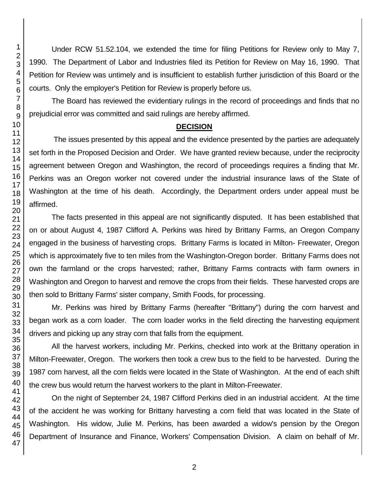Under RCW 51.52.104, we extended the time for filing Petitions for Review only to May 7, 1990. The Department of Labor and Industries filed its Petition for Review on May 16, 1990. That Petition for Review was untimely and is insufficient to establish further jurisdiction of this Board or the courts. Only the employer's Petition for Review is properly before us.

The Board has reviewed the evidentiary rulings in the record of proceedings and finds that no prejudicial error was committed and said rulings are hereby affirmed.

## **DECISION**

The issues presented by this appeal and the evidence presented by the parties are adequately set forth in the Proposed Decision and Order. We have granted review because, under the reciprocity agreement between Oregon and Washington, the record of proceedings requires a finding that Mr. Perkins was an Oregon worker not covered under the industrial insurance laws of the State of Washington at the time of his death. Accordingly, the Department orders under appeal must be affirmed.

The facts presented in this appeal are not significantly disputed. It has been established that on or about August 4, 1987 Clifford A. Perkins was hired by Brittany Farms, an Oregon Company engaged in the business of harvesting crops. Brittany Farms is located in Milton- Freewater, Oregon which is approximately five to ten miles from the Washington-Oregon border. Brittany Farms does not own the farmland or the crops harvested; rather, Brittany Farms contracts with farm owners in Washington and Oregon to harvest and remove the crops from their fields. These harvested crops are then sold to Brittany Farms' sister company, Smith Foods, for processing.

Mr. Perkins was hired by Brittany Farms (hereafter "Brittany") during the corn harvest and began work as a corn loader. The corn loader works in the field directing the harvesting equipment drivers and picking up any stray corn that falls from the equipment.

All the harvest workers, including Mr. Perkins, checked into work at the Brittany operation in Milton-Freewater, Oregon. The workers then took a crew bus to the field to be harvested. During the 1987 corn harvest, all the corn fields were located in the State of Washington. At the end of each shift the crew bus would return the harvest workers to the plant in Milton-Freewater.

On the night of September 24, 1987 Clifford Perkins died in an industrial accident. At the time of the accident he was working for Brittany harvesting a corn field that was located in the State of Washington. His widow, Julie M. Perkins, has been awarded a widow's pension by the Oregon Department of Insurance and Finance, Workers' Compensation Division. A claim on behalf of Mr.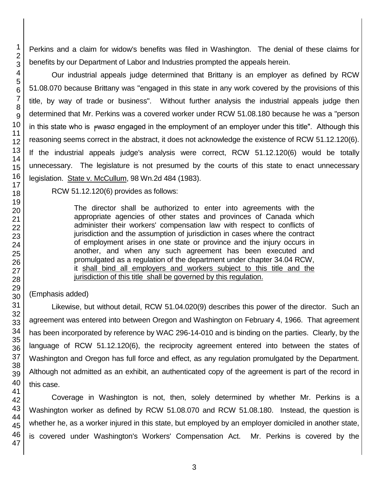Perkins and a claim for widow's benefits was filed in Washington. The denial of these claims for benefits by our Department of Labor and Industries prompted the appeals herein.

Our industrial appeals judge determined that Brittany is an employer as defined by RCW 51.08.070 because Brittany was "engaged in this state in any work covered by the provisions of this title, by way of trade or business". Without further analysis the industrial appeals judge then determined that Mr. Perkins was a covered worker under RCW 51.08.180 because he was a "person in this state who is Fwaso engaged in the employment of an employer under this title". Although this reasoning seems correct in the abstract, it does not acknowledge the existence of RCW 51.12.120(6). If the industrial appeals judge's analysis were correct, RCW 51.12.120(6) would be totally unnecessary. The legislature is not presumed by the courts of this state to enact unnecessary legislation. State v. McCullum, 98 Wn.2d 484 (1983).

RCW 51.12.120(6) provides as follows:

The director shall be authorized to enter into agreements with the appropriate agencies of other states and provinces of Canada which administer their workers' compensation law with respect to conflicts of jurisdiction and the assumption of jurisdiction in cases where the contract of employment arises in one state or province and the injury occurs in another, and when any such agreement has been executed and promulgated as a regulation of the department under chapter 34.04 RCW, it shall bind all employers and workers subject to this title and the jurisdiction of this title shall be governed by this regulation.

(Emphasis added)

Likewise, but without detail, RCW 51.04.020(9) describes this power of the director. Such an agreement was entered into between Oregon and Washington on February 4, 1966. That agreement has been incorporated by reference by WAC 296-14-010 and is binding on the parties. Clearly, by the language of RCW 51.12.120(6), the reciprocity agreement entered into between the states of Washington and Oregon has full force and effect, as any regulation promulgated by the Department. Although not admitted as an exhibit, an authenticated copy of the agreement is part of the record in this case.

Coverage in Washington is not, then, solely determined by whether Mr. Perkins is a Washington worker as defined by RCW 51.08.070 and RCW 51.08.180. Instead, the question is whether he, as a worker injured in this state, but employed by an employer domiciled in another state, is covered under Washington's Workers' Compensation Act. Mr. Perkins is covered by the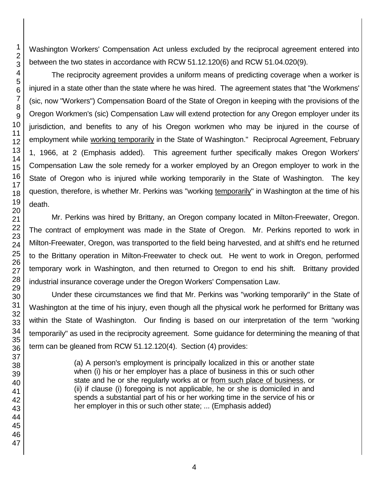Washington Workers' Compensation Act unless excluded by the reciprocal agreement entered into between the two states in accordance with RCW 51.12.120(6) and RCW 51.04.020(9).

The reciprocity agreement provides a uniform means of predicting coverage when a worker is injured in a state other than the state where he was hired. The agreement states that "the Workmens' (sic, now "Workers") Compensation Board of the State of Oregon in keeping with the provisions of the Oregon Workmen's (sic) Compensation Law will extend protection for any Oregon employer under its jurisdiction, and benefits to any of his Oregon workmen who may be injured in the course of employment while working temporarily in the State of Washington." Reciprocal Agreement, February 1, 1966, at 2 (Emphasis added). This agreement further specifically makes Oregon Workers' Compensation Law the sole remedy for a worker employed by an Oregon employer to work in the State of Oregon who is injured while working temporarily in the State of Washington. The key question, therefore, is whether Mr. Perkins was "working temporarily" in Washington at the time of his death.

Mr. Perkins was hired by Brittany, an Oregon company located in Milton-Freewater, Oregon. The contract of employment was made in the State of Oregon. Mr. Perkins reported to work in Milton-Freewater, Oregon, was transported to the field being harvested, and at shift's end he returned to the Brittany operation in Milton-Freewater to check out. He went to work in Oregon, performed temporary work in Washington, and then returned to Oregon to end his shift. Brittany provided industrial insurance coverage under the Oregon Workers' Compensation Law.

Under these circumstances we find that Mr. Perkins was "working temporarily" in the State of Washington at the time of his injury, even though all the physical work he performed for Brittany was within the State of Washington. Our finding is based on our interpretation of the term "working temporarily" as used in the reciprocity agreement. Some guidance for determining the meaning of that term can be gleaned from RCW 51.12.120(4). Section (4) provides:

> (a) A person's employment is principally localized in this or another state when (i) his or her employer has a place of business in this or such other state and he or she regularly works at or from such place of business, or (ii) if clause (i) foregoing is not applicable, he or she is domiciled in and spends a substantial part of his or her working time in the service of his or her employer in this or such other state; ... (Emphasis added)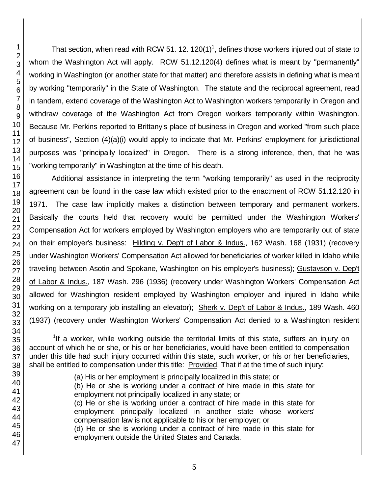That section, when read with RCW 51. 12. 120(1)<sup>1</sup>, defines those workers injured out of state to whom the Washington Act will apply. RCW 51.12.120(4) defines what is meant by "permanently" working in Washington (or another state for that matter) and therefore assists in defining what is meant by working "temporarily" in the State of Washington. The statute and the reciprocal agreement, read in tandem, extend coverage of the Washington Act to Washington workers temporarily in Oregon and withdraw coverage of the Washington Act from Oregon workers temporarily within Washington. Because Mr. Perkins reported to Brittany's place of business in Oregon and worked "from such place of business", Section (4)(a)(i) would apply to indicate that Mr. Perkins' employment for jurisdictional purposes was "principally localized" in Oregon. There is a strong inference, then, that he was "working temporarily" in Washington at the time of his death.

Additional assistance in interpreting the term "working temporarily" as used in the reciprocity agreement can be found in the case law which existed prior to the enactment of RCW 51.12.120 in 1971. The case law implicitly makes a distinction between temporary and permanent workers. Basically the courts held that recovery would be permitted under the Washington Workers' Compensation Act for workers employed by Washington employers who are temporarily out of state on their employer's business: Hilding v. Dep't of Labor & Indus., 162 Wash. 168 (1931) (recovery under Washington Workers' Compensation Act allowed for beneficiaries of worker killed in Idaho while traveling between Asotin and Spokane, Washington on his employer's business); Gustavson v. Dep't of Labor & Indus., 187 Wash. 296 (1936) (recovery under Washington Workers' Compensation Act allowed for Washington resident employed by Washington employer and injured in Idaho while working on a temporary job installing an elevator); Sherk v. Dep't of Labor & Indus., 189 Wash. 460 (1937) (recovery under Washington Workers' Compensation Act denied to a Washington resident

(a) His or her employment is principally localized in this state; or

- (b) He or she is working under a contract of hire made in this state for employment not principally localized in any state; or
- (c) He or she is working under a contract of hire made in this state for employment principally localized in another state whose workers' compensation law is not applicable to his or her employer; or
- (d) He or she is working under a contract of hire made in this state for employment outside the United States and Canada.

l  $1$ If a worker, while working outside the territorial limits of this state, suffers an injury on account of which he or she, or his or her beneficiaries, would have been entitled to compensation under this title had such injury occurred within this state, such worker, or his or her beneficiaries, shall be entitled to compensation under this title: Provided, That if at the time of such injury: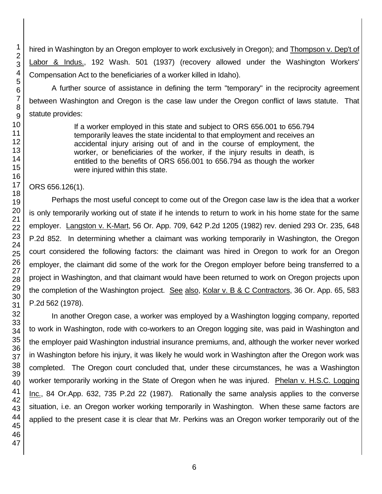hired in Washington by an Oregon employer to work exclusively in Oregon); and Thompson v. Dep't of Labor & Indus., 192 Wash. 501 (1937) (recovery allowed under the Washington Workers' Compensation Act to the beneficiaries of a worker killed in Idaho).

A further source of assistance in defining the term "temporary" in the reciprocity agreement between Washington and Oregon is the case law under the Oregon conflict of laws statute. That statute provides:

> If a worker employed in this state and subject to ORS 656.001 to 656.794 temporarily leaves the state incidental to that employment and receives an accidental injury arising out of and in the course of employment, the worker, or beneficiaries of the worker, if the injury results in death, is entitled to the benefits of ORS 656.001 to 656.794 as though the worker were injured within this state.

ORS 656.126(1).

Perhaps the most useful concept to come out of the Oregon case law is the idea that a worker is only temporarily working out of state if he intends to return to work in his home state for the same employer. Langston v. K-Mart, 56 Or. App. 709, 642 P.2d 1205 (1982) rev. denied 293 Or. 235, 648 P.2d 852. In determining whether a claimant was working temporarily in Washington, the Oregon court considered the following factors: the claimant was hired in Oregon to work for an Oregon employer, the claimant did some of the work for the Oregon employer before being transferred to a project in Washington, and that claimant would have been returned to work on Oregon projects upon the completion of the Washington project. See also, Kolar v. B & C Contractors, 36 Or. App. 65, 583 P.2d 562 (1978).

In another Oregon case, a worker was employed by a Washington logging company, reported to work in Washington, rode with co-workers to an Oregon logging site, was paid in Washington and the employer paid Washington industrial insurance premiums, and, although the worker never worked in Washington before his injury, it was likely he would work in Washington after the Oregon work was completed. The Oregon court concluded that, under these circumstances, he was a Washington worker temporarily working in the State of Oregon when he was injured. Phelan v. H.S.C. Logging Inc., 84 Or.App. 632, 735 P.2d 22 (1987). Rationally the same analysis applies to the converse situation, i.e. an Oregon worker working temporarily in Washington. When these same factors are applied to the present case it is clear that Mr. Perkins was an Oregon worker temporarily out of the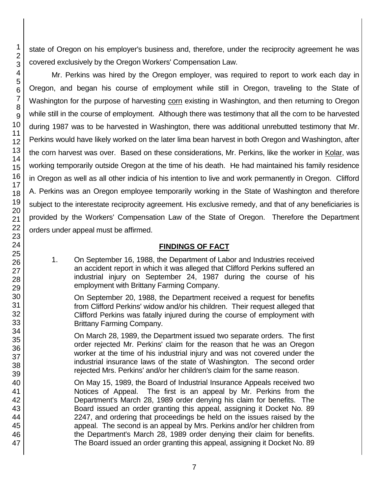state of Oregon on his employer's business and, therefore, under the reciprocity agreement he was covered exclusively by the Oregon Workers' Compensation Law.

Mr. Perkins was hired by the Oregon employer, was required to report to work each day in Oregon, and began his course of employment while still in Oregon, traveling to the State of Washington for the purpose of harvesting corn existing in Washington, and then returning to Oregon while still in the course of employment. Although there was testimony that all the corn to be harvested during 1987 was to be harvested in Washington, there was additional unrebutted testimony that Mr. Perkins would have likely worked on the later lima bean harvest in both Oregon and Washington, after the corn harvest was over. Based on these considerations, Mr. Perkins, like the worker in Kolar, was working temporarily outside Oregon at the time of his death. He had maintained his family residence in Oregon as well as all other indicia of his intention to live and work permanently in Oregon. Clifford A. Perkins was an Oregon employee temporarily working in the State of Washington and therefore subject to the interestate reciprocity agreement. His exclusive remedy, and that of any beneficiaries is provided by the Workers' Compensation Law of the State of Oregon. Therefore the Department orders under appeal must be affirmed.

## **FINDINGS OF FACT**

1. On September 16, 1988, the Department of Labor and Industries received an accident report in which it was alleged that Clifford Perkins suffered an industrial injury on September 24, 1987 during the course of his employment with Brittany Farming Company.

On September 20, 1988, the Department received a request for benefits from Clifford Perkins' widow and/or his children. Their request alleged that Clifford Perkins was fatally injured during the course of employment with Brittany Farming Company.

On March 28, 1989, the Department issued two separate orders. The first order rejected Mr. Perkins' claim for the reason that he was an Oregon worker at the time of his industrial injury and was not covered under the industrial insurance laws of the state of Washington. The second order rejected Mrs. Perkins' and/or her children's claim for the same reason.

On May 15, 1989, the Board of Industrial Insurance Appeals received two Notices of Appeal. The first is an appeal by Mr. Perkins from the Department's March 28, 1989 order denying his claim for benefits. The Board issued an order granting this appeal, assigning it Docket No. 89 2247, and ordering that proceedings be held on the issues raised by the appeal. The second is an appeal by Mrs. Perkins and/or her children from the Department's March 28, 1989 order denying their claim for benefits. The Board issued an order granting this appeal, assigning it Docket No. 89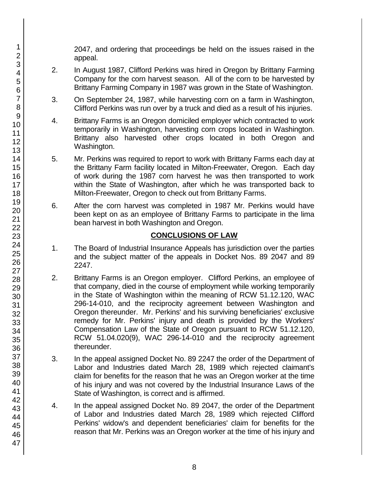2047, and ordering that proceedings be held on the issues raised in the appeal.

- 2. In August 1987, Clifford Perkins was hired in Oregon by Brittany Farming Company for the corn harvest season. All of the corn to be harvested by Brittany Farming Company in 1987 was grown in the State of Washington.
- 3. On September 24, 1987, while harvesting corn on a farm in Washington, Clifford Perkins was run over by a truck and died as a result of his injuries.
- 4. Brittany Farms is an Oregon domiciled employer which contracted to work temporarily in Washington, harvesting corn crops located in Washington. Brittany also harvested other crops located in both Oregon and Washington.
- 5. Mr. Perkins was required to report to work with Brittany Farms each day at the Brittany Farm facility located in Milton-Freewater, Oregon. Each day of work during the 1987 corn harvest he was then transported to work within the State of Washington, after which he was transported back to Milton-Freewater, Oregon to check out from Brittany Farms.
- 6. After the corn harvest was completed in 1987 Mr. Perkins would have been kept on as an employee of Brittany Farms to participate in the lima bean harvest in both Washington and Oregon.

## **CONCLUSIONS OF LAW**

- 1. The Board of Industrial Insurance Appeals has jurisdiction over the parties and the subject matter of the appeals in Docket Nos. 89 2047 and 89 2247.
- 2. Brittany Farms is an Oregon employer. Clifford Perkins, an employee of that company, died in the course of employment while working temporarily in the State of Washington within the meaning of RCW 51.12.120, WAC 296-14-010, and the reciprocity agreement between Washington and Oregon thereunder. Mr. Perkins' and his surviving beneficiaries' exclusive remedy for Mr. Perkins' injury and death is provided by the Workers' Compensation Law of the State of Oregon pursuant to RCW 51.12.120, RCW 51.04.020(9), WAC 296-14-010 and the reciprocity agreement thereunder.
- 3. In the appeal assigned Docket No. 89 2247 the order of the Department of Labor and Industries dated March 28, 1989 which rejected claimant's claim for benefits for the reason that he was an Oregon worker at the time of his injury and was not covered by the Industrial Insurance Laws of the State of Washington, is correct and is affirmed.
- 4. In the appeal assigned Docket No. 89 2047, the order of the Department of Labor and Industries dated March 28, 1989 which rejected Clifford Perkins' widow's and dependent beneficiaries' claim for benefits for the reason that Mr. Perkins was an Oregon worker at the time of his injury and